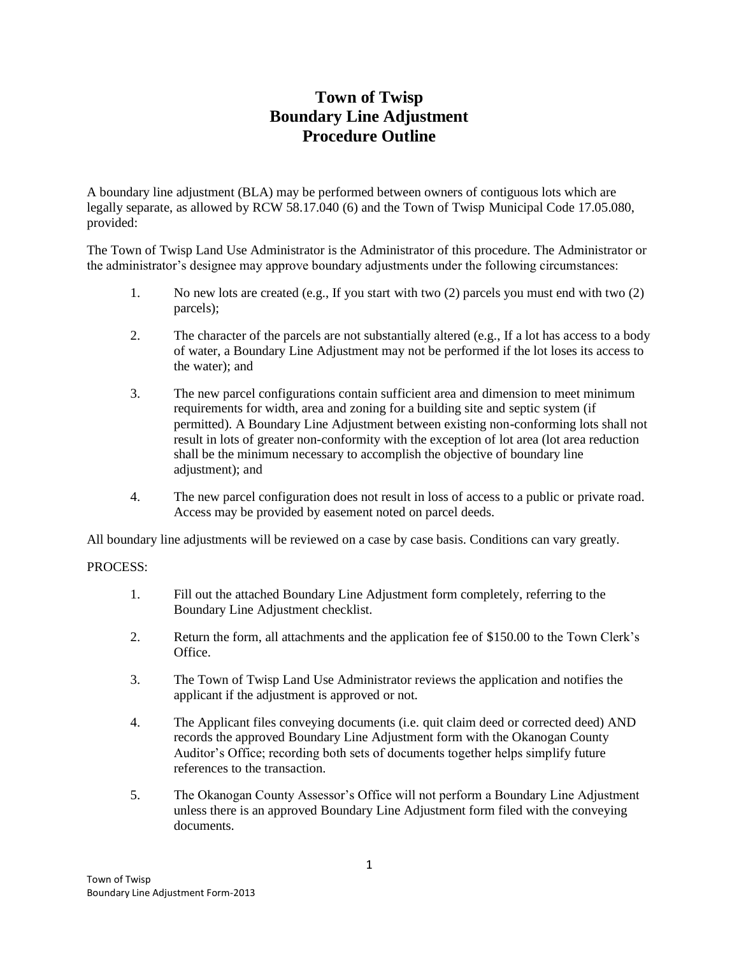# **Town of Twisp Boundary Line Adjustment Procedure Outline**

A boundary line adjustment (BLA) may be performed between owners of contiguous lots which are legally separate, as allowed by RCW 58.17.040 (6) and the Town of Twisp Municipal Code 17.05.080, provided:

The Town of Twisp Land Use Administrator is the Administrator of this procedure. The Administrator or the administrator's designee may approve boundary adjustments under the following circumstances:

- 1. No new lots are created (e.g., If you start with two (2) parcels you must end with two (2) parcels);
- 2. The character of the parcels are not substantially altered (e.g., If a lot has access to a body of water, a Boundary Line Adjustment may not be performed if the lot loses its access to the water); and
- 3. The new parcel configurations contain sufficient area and dimension to meet minimum requirements for width, area and zoning for a building site and septic system (if permitted). A Boundary Line Adjustment between existing non-conforming lots shall not result in lots of greater non-conformity with the exception of lot area (lot area reduction shall be the minimum necessary to accomplish the objective of boundary line adjustment); and
- 4. The new parcel configuration does not result in loss of access to a public or private road. Access may be provided by easement noted on parcel deeds.

All boundary line adjustments will be reviewed on a case by case basis. Conditions can vary greatly.

#### PROCESS:

- 1. Fill out the attached Boundary Line Adjustment form completely, referring to the Boundary Line Adjustment checklist.
- 2. Return the form, all attachments and the application fee of \$150.00 to the Town Clerk's Office.
- 3. The Town of Twisp Land Use Administrator reviews the application and notifies the applicant if the adjustment is approved or not.
- 4. The Applicant files conveying documents (i.e. quit claim deed or corrected deed) AND records the approved Boundary Line Adjustment form with the Okanogan County Auditor's Office; recording both sets of documents together helps simplify future references to the transaction.
- 5. The Okanogan County Assessor's Office will not perform a Boundary Line Adjustment unless there is an approved Boundary Line Adjustment form filed with the conveying documents.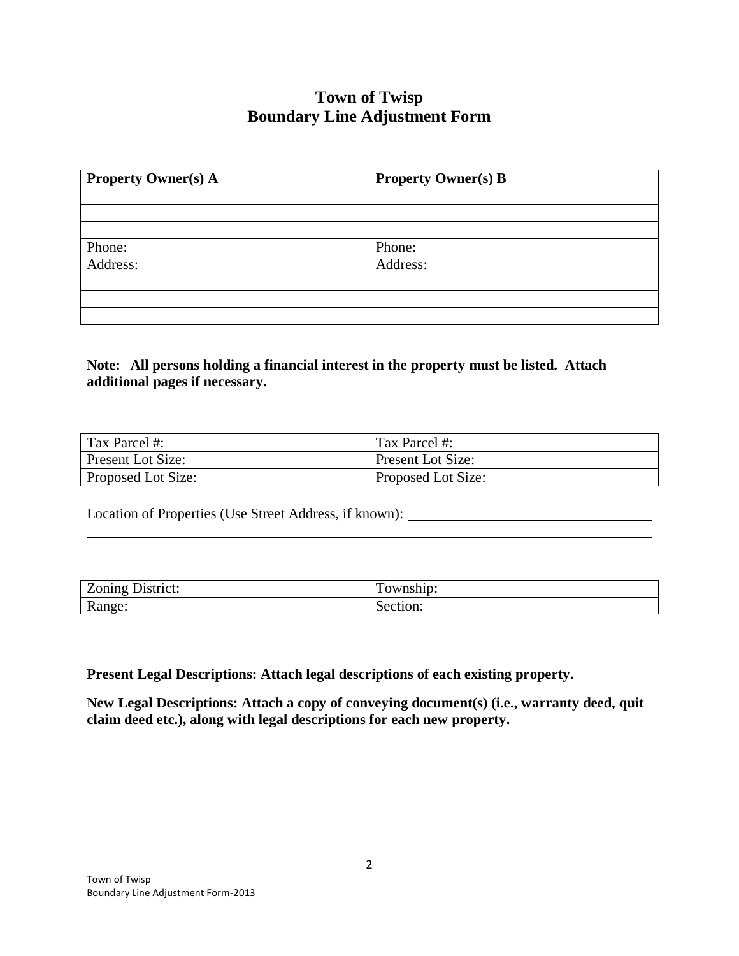# **Town of Twisp Boundary Line Adjustment Form**

| <b>Property Owner(s) A</b> | <b>Property Owner(s) B</b> |  |
|----------------------------|----------------------------|--|
|                            |                            |  |
|                            |                            |  |
|                            |                            |  |
| Phone:                     | Phone:                     |  |
| Address:                   | Address:                   |  |
|                            |                            |  |
|                            |                            |  |
|                            |                            |  |

## **Note: All persons holding a financial interest in the property must be listed. Attach additional pages if necessary.**

| Tax Parcel #:             | Tax Parcel #:      |
|---------------------------|--------------------|
| <b>Present Lot Size:</b>  | Present Lot Size:  |
| <b>Proposed Lot Size:</b> | Proposed Lot Size: |

Location of Properties (Use Street Address, if known): \_\_\_\_\_\_\_\_\_\_\_\_\_\_\_\_\_\_\_\_\_\_\_\_\_\_

| $\overline{\phantom{a}}$<br>-<br>$\sim$ $\sim$ $\sim$<br>$14.0 + 44.0 + 1$<br><b>LONING</b><br>. 1 v v . | ᅲ<br>$   -$<br>.<br>тышл. |
|----------------------------------------------------------------------------------------------------------|---------------------------|
| Ð<br>$\mathbf{num}$<br>. .                                                                               | .                         |

**Present Legal Descriptions: Attach legal descriptions of each existing property.** 

**New Legal Descriptions: Attach a copy of conveying document(s) (i.e., warranty deed, quit claim deed etc.), along with legal descriptions for each new property.**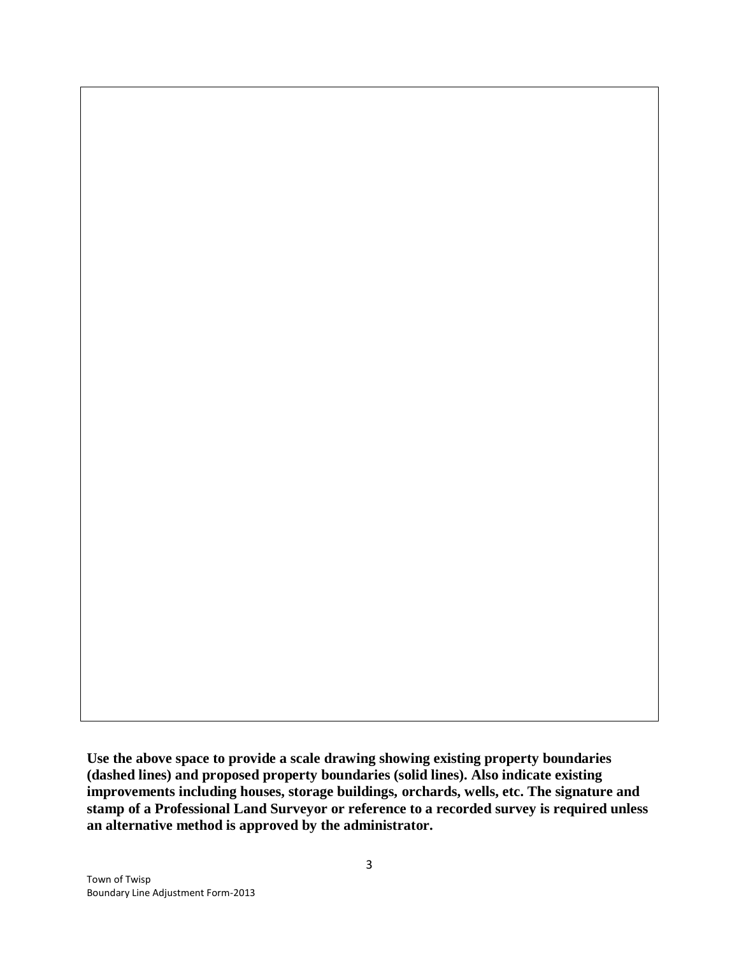**Use the above space to provide a scale drawing showing existing property boundaries (dashed lines) and proposed property boundaries (solid lines). Also indicate existing improvements including houses, storage buildings, orchards, wells, etc. The signature and stamp of a Professional Land Surveyor or reference to a recorded survey is required unless an alternative method is approved by the administrator.**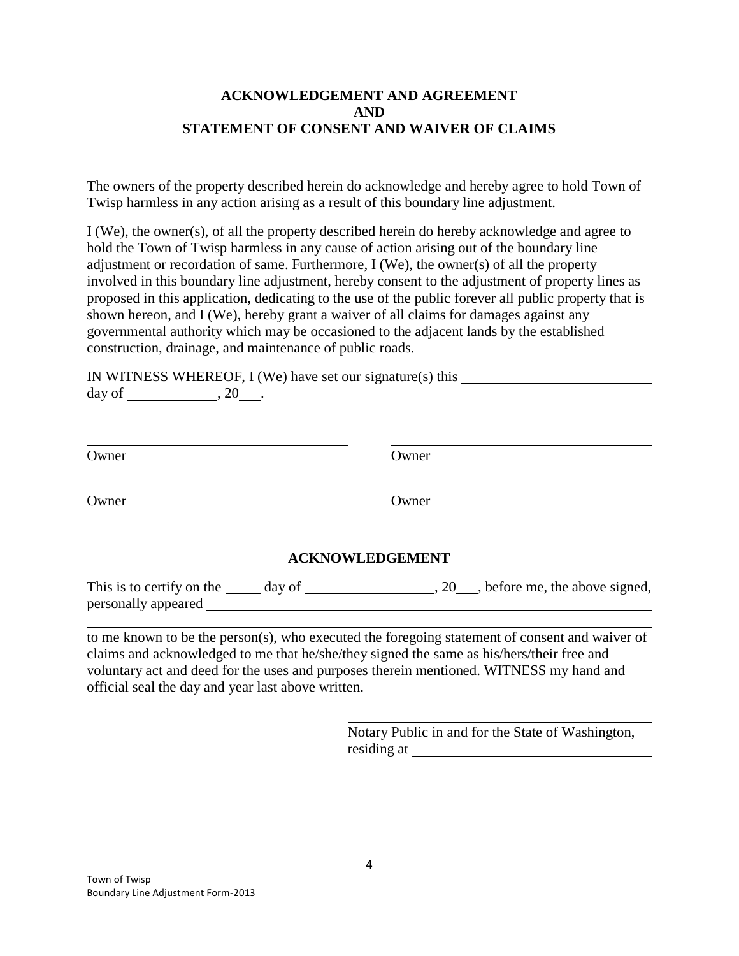#### **ACKNOWLEDGEMENT AND AGREEMENT AND STATEMENT OF CONSENT AND WAIVER OF CLAIMS**

The owners of the property described herein do acknowledge and hereby agree to hold Town of Twisp harmless in any action arising as a result of this boundary line adjustment.

I (We), the owner(s), of all the property described herein do hereby acknowledge and agree to hold the Town of Twisp harmless in any cause of action arising out of the boundary line adjustment or recordation of same. Furthermore, I (We), the owner(s) of all the property involved in this boundary line adjustment, hereby consent to the adjustment of property lines as proposed in this application, dedicating to the use of the public forever all public property that is shown hereon, and I (We), hereby grant a waiver of all claims for damages against any governmental authority which may be occasioned to the adjacent lands by the established construction, drainage, and maintenance of public roads.

IN WITNESS WHEREOF, I (We) have set our signature(s) this day of  $\_\_\_\_\_$ , 20 $\_\_\_\_\.$ 

| Owner | Owner                  |  |
|-------|------------------------|--|
| Owner | Owner                  |  |
|       | <b>ACKNOWLEDGEMENT</b> |  |

### **ACKNOWLEDGEMENT**

| This is to certify on the | day of | , before me, the above signed, |
|---------------------------|--------|--------------------------------|
| personally appeared       |        |                                |

to me known to be the person(s), who executed the foregoing statement of consent and waiver of claims and acknowledged to me that he/she/they signed the same as his/hers/their free and voluntary act and deed for the uses and purposes therein mentioned. WITNESS my hand and official seal the day and year last above written.

> Notary Public in and for the State of Washington, residing at